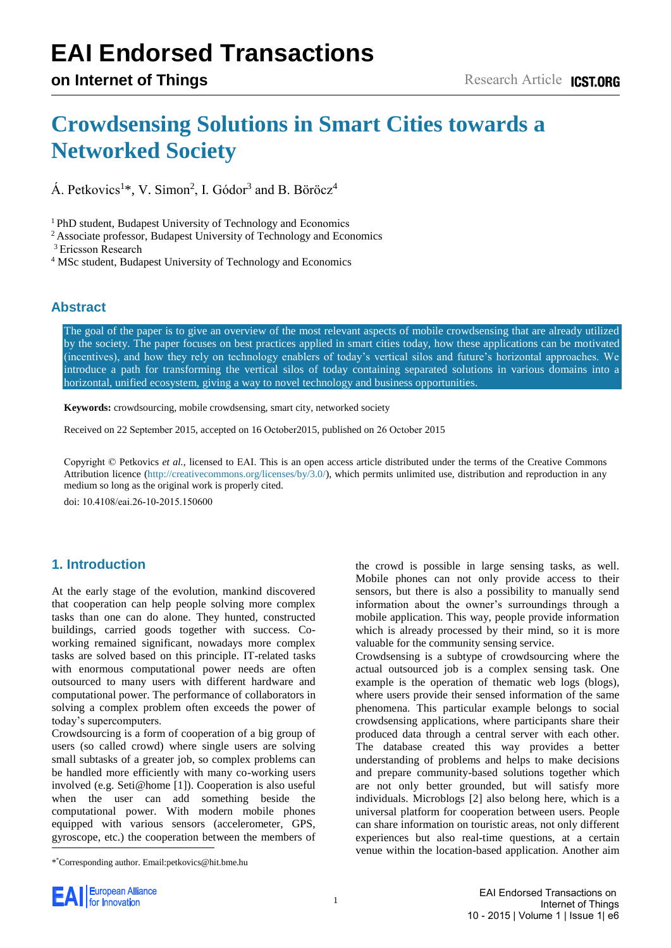# **EAI Endorsed Transactions**

# **Crowdsensing Solutions in Smart Cities towards a Networked Society**

 $\acute{A}$ . Petkovics<sup>1\*</sup>, V. Simon<sup>2</sup>, I. Gódor<sup>3</sup> and B. Böröcz<sup>4</sup>

<sup>1</sup> PhD student, Budapest University of Technology and Economics

<sup>2</sup> Associate professor, Budapest University of Technology and Economics

<sup>3</sup> Ericsson Research

<sup>4</sup> MSc student, Budapest University of Technology and Economics

#### **Abstract**

The goal of the paper is to give an overview of the most relevant aspects of mobile crowdsensing that are already utilized by the society. The paper focuses on best practices applied in smart cities today, how these applications can be motivated (incentives), and how they rely on technology enablers of today's vertical silos and future's horizontal approaches. We introduce a path for transforming the vertical silos of today containing separated solutions in various domains into a horizontal, unified ecosystem, giving a way to novel technology and business opportunities.

**Keywords:** crowdsourcing, mobile crowdsensing, smart city, networked society

Received on 22 September 2015, accepted on 16 October2015, published on 26 October 2015

Copyright © Petkovics *et al.*, licensed to EAI. This is an open access article distributed under the terms of the Creative Commons Attribution licence [\(http://creativecommons.org/licenses/by/3.0/\)](http://creativecommons.org/licenses/by/3.0/), which permits unlimited use, distribution and reproduction in any medium so long as the original work is properly cited.

doi: 10.4108/eai.26-10-2015.150600

## **1. Introduction**

At the early stage of the evolution, mankind discovered that cooperation can help people solving more complex tasks than one can do alone. They hunted, constructed buildings, carried goods together with success. Coworking remained significant, nowadays more complex tasks are solved based on this principle. IT-related tasks with enormous computational power needs are often outsourced to many users with different hardware and computational power. The performance of collaborators in solving a complex problem often exceeds the power of today's supercomputers.

Crowdsourcing is a form of cooperation of a big group of users (so called crowd) where single users are solving small subtasks of a greater job, so complex problems can be handled more efficiently with many co-working users involved (e.g. Seti@home [1]). Cooperation is also useful when the user can [add](#page-12-0) something beside the computational power. With modern mobile phones equipped with various sensors (accelerometer, GPS, gyroscope, etc.) the cooperation between the members of

the crowd is possible in large sensing tasks, as well. Mobile phones can not only provide access to their sensors, but there is also a possibility to manually send information about the owner's surroundings through a mobile application. This way, people provide information which is already processed by their mind, so it is more valuable for the community sensing service.

Crowdsensing is a subtype of crowdsourcing where the actual outsourced job is a complex sensing task. One example is the operation of thematic web logs (blogs), where users provide their sensed information of the same phenomena. This particular example belongs to social crowdsensing applications, where participants share their produced data through a central server with each other. The database created this way provides a better understanding of problems and helps to make decisions and prepare community-based solutions together which are not only better grounded, but will satisfy more individuals. Microblogs [\[2\]](#page-12-1) also belong here, which is a universal platform for cooperation between users. People can share information on touristic areas, not only different experiences but also real-time questions, at a certain venue within the location-based application. Another aim



<sup>\*</sup> \*Corresponding author. Email:petkovics@hit.bme.hu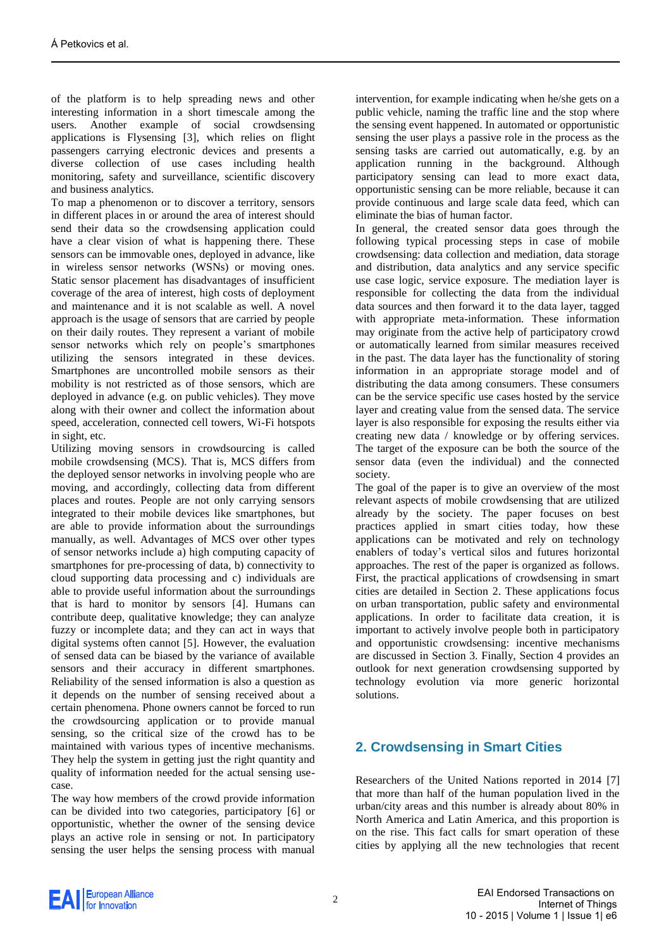of the platform is to help spreading news and other interesting information in a short timescale among the users. Another example of social crowdsensing applications is Flysensing [\[3\],](#page-12-2) which relies on flight passengers carrying electronic devices and presents a diverse collection of use cases including health monitoring, safety and surveillance, scientific discovery and business analytics.

To map a phenomenon or to discover a territory, sensors in different places in or around the area of interest should send their data so the crowdsensing application could have a clear vision of what is happening there. These sensors can be immovable ones, deployed in advance, like in wireless sensor networks (WSNs) or moving ones. Static sensor placement has disadvantages of insufficient coverage of the area of interest, high costs of deployment and maintenance and it is not scalable as well. A novel approach is the usage of sensors that are carried by people on their daily routes. They represent a variant of mobile sensor networks which rely on people's smartphones utilizing the sensors integrated in these devices. Smartphones are uncontrolled mobile sensors as their mobility is not restricted as of those sensors, which are deployed in advance (e.g. on public vehicles). They move along with their owner and collect the information about speed, acceleration, connected cell towers, Wi-Fi hotspots in sight, etc.

Utilizing moving sensors in crowdsourcing is called mobile crowdsensing (MCS). That is, MCS differs from the deployed sensor networks in involving people who are moving, and accordingly, collecting data from different places and routes. People are not only carrying sensors integrated to their mobile devices like smartphones, but are able to provide information about the surroundings manually, as well. Advantages of MCS over other types of sensor networks include a) high computing capacity of smartphones for pre-processing of data, b) connectivity to cloud supporting data processing and c) individuals are able to provide useful information about the surroundings that is hard to monitor by sensors [\[4\].](#page-12-3) Humans can contribute deep, qualitative knowledge; they can analyze fuzzy or incomplete data; and they can act in ways that digital systems often cannot [\[5\].](#page-12-4) However, the evaluation of sensed data can be biased by the variance of available sensors and their accuracy in different smartphones. Reliability of the sensed information is also a question as it depends on the number of sensing received about a certain phenomena. Phone owners cannot be forced to run the crowdsourcing application or to provide manual sensing, so the critical size of the crowd has to be maintained with various types of incentive mechanisms. They help the system in getting just the right quantity and quality of information needed for the actual sensing usecase.

The way how members of the crowd provide information can be divided into two categories, participatory [\[6\]](#page-12-5) or opportunistic, whether the owner of the sensing device plays an active role in sensing or not. In participatory sensing the user helps the sensing process with manual

intervention, for example indicating when he/she gets on a public vehicle, naming the traffic line and the stop where the sensing event happened. In automated or opportunistic sensing the user plays a passive role in the process as the sensing tasks are carried out automatically, e.g. by an application running in the background. Although participatory sensing can lead to more exact data, opportunistic sensing can be more reliable, because it can provide continuous and large scale data feed, which can eliminate the bias of human factor.

In general, the created sensor data goes through the following typical processing steps in case of mobile crowdsensing: data collection and mediation, data storage and distribution, data analytics and any service specific use case logic, service exposure. The mediation layer is responsible for collecting the data from the individual data sources and then forward it to the data layer, tagged with appropriate meta-information. These information may originate from the active help of participatory crowd or automatically learned from similar measures received in the past. The data layer has the functionality of storing information in an appropriate storage model and of distributing the data among consumers. These consumers can be the service specific use cases hosted by the service layer and creating value from the sensed data. The service layer is also responsible for exposing the results either via creating new data / knowledge or by offering services. The target of the exposure can be both the source of the sensor data (even the individual) and the connected society.

The goal of the paper is to give an overview of the most relevant aspects of mobile crowdsensing that are utilized already by the society. The paper focuses on best practices applied in smart cities today, how these applications can be motivated and rely on technology enablers of today's vertical silos and futures horizontal approaches. The rest of the paper is organized as follows. First, the practical applications of crowdsensing in smart cities are detailed in Section 2. These applications focus on urban transportation, public safety and environmental applications. In order to facilitate data creation, it is important to actively involve people both in participatory and opportunistic crowdsensing: incentive mechanisms are discussed in Section 3. Finally, Section 4 provides an outlook for next generation crowdsensing supported by technology evolution via more generic horizontal solutions.

# **2. Crowdsensing in Smart Cities**

Researchers of the United Nations reported in 2014 [\[7\]](#page-12-6) that more than half of the human population lived in the urban/city areas and this number is already about 80% in North America and Latin America, and this proportion is on the rise. This fact calls for smart operation of these cities by applying all the new technologies that recent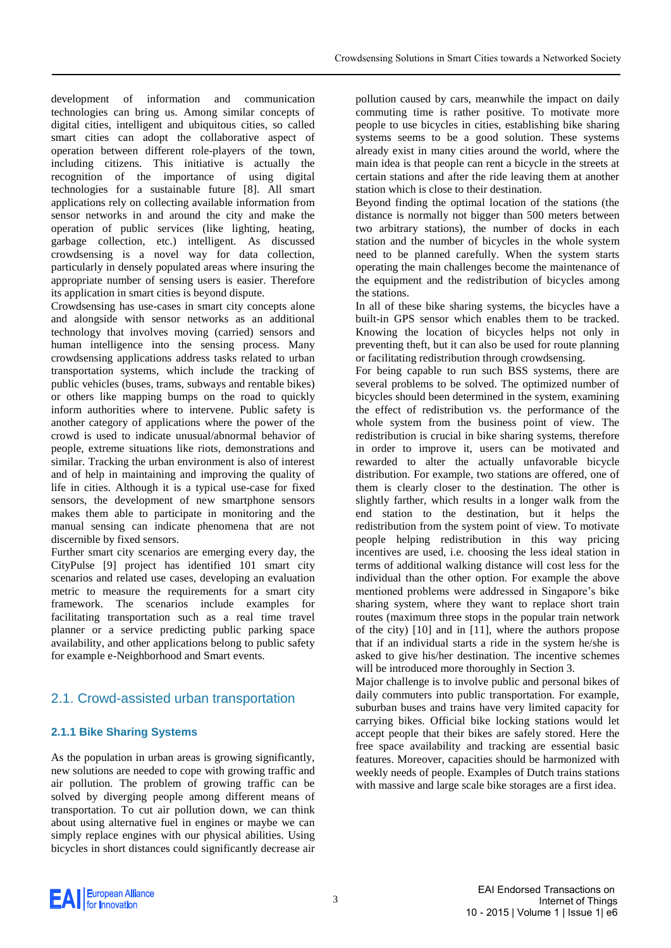development of information and communication technologies can bring us. Among similar concepts of digital cities, intelligent and ubiquitous cities, so called smart cities can adopt the collaborative aspect of operation between different role-players of the town, including citizens. This initiative is actually the recognition of the importance of using digital technologies for a sustainable future [\[8\].](#page-13-0) All smart applications rely on collecting available information from sensor networks in and around the city and make the operation of public services (like lighting, heating, garbage collection, etc.) intelligent. As discussed crowdsensing is a novel way for data collection, particularly in densely populated areas where insuring the appropriate number of sensing users is easier. Therefore its application in smart cities is beyond dispute.

Crowdsensing has use-cases in smart city concepts alone and alongside with sensor networks as an additional technology that involves moving (carried) sensors and human intelligence into the sensing process. Many crowdsensing applications address tasks related to urban transportation systems, which include the tracking of public vehicles (buses, trams, subways and rentable bikes) or others like mapping bumps on the road to quickly inform authorities where to intervene. Public safety is another category of applications where the power of the crowd is used to indicate unusual/abnormal behavior of people, extreme situations like riots, demonstrations and similar. Tracking the urban environment is also of interest and of help in maintaining and improving the quality of life in cities. Although it is a typical use-case for fixed sensors, the development of new smartphone sensors makes them able to participate in monitoring and the manual sensing can indicate phenomena that are not discernible by fixed sensors.

Further smart city scenarios are emerging every day, the CityPulse [\[9\]](#page-13-1) project has identified 101 smart city scenarios and related use cases, developing an evaluation metric to measure the requirements for a smart city framework. The scenarios include examples for facilitating transportation such as a real time travel planner or a service predicting public parking space availability, and other applications belong to public safety for example e-Neighborhood and Smart events.

# 2.1. Crowd-assisted urban transportation

#### **2.1.1 Bike Sharing Systems**

As the population in urban areas is growing significantly, new solutions are needed to cope with growing traffic and air pollution. The problem of growing traffic can be solved by diverging people among different means of transportation. To cut air pollution down, we can think about using alternative fuel in engines or maybe we can simply replace engines with our physical abilities. Using bicycles in short distances could significantly decrease air pollution caused by cars, meanwhile the impact on daily commuting time is rather positive. To motivate more people to use bicycles in cities, establishing bike sharing systems seems to be a good solution. These systems already exist in many cities around the world, where the main idea is that people can rent a bicycle in the streets at certain stations and after the ride leaving them at another station which is close to their destination.

Beyond finding the optimal location of the stations (the distance is normally not bigger than 500 meters between two arbitrary stations), the number of docks in each station and the number of bicycles in the whole system need to be planned carefully. When the system starts operating the main challenges become the maintenance of the equipment and the redistribution of bicycles among the stations.

In all of these bike sharing systems, the bicycles have a built-in GPS sensor which enables them to be tracked. Knowing the location of bicycles helps not only in preventing theft, but it can also be used for route planning or facilitating redistribution through crowdsensing.

For being capable to run such BSS systems, there are several problems to be solved. The optimized number of bicycles should been determined in the system, examining the effect of redistribution vs. the performance of the whole system from the business point of view. The redistribution is crucial in bike sharing systems, therefore in order to improve it, users can be motivated and rewarded to alter the actually unfavorable bicycle distribution. For example, two stations are offered, one of them is clearly closer to the destination. The other is slightly farther, which results in a longer walk from the end station to the destination, but it helps the redistribution from the system point of view. To motivate people helping redistribution in this way pricing incentives are used, i.e. choosing the less ideal station in terms of additional walking distance will cost less for the individual than the other option. For example the above mentioned problems were addressed in Singapore's bike sharing system, where they want to replace short train routes (maximum three stops in the popular train network of the city) [\[10\]](#page-13-2) and in [\[11\],](#page-13-3) where the authors propose that if an individual starts a ride in the system he/she is asked to give his/her destination. The incentive schemes will be introduced more thoroughly in Section 3.

Major challenge is to involve public and personal bikes of daily commuters into public transportation. For example, suburban buses and trains have very limited capacity for carrying bikes. Official bike locking stations would let accept people that their bikes are safely stored. Here the free space availability and tracking are essential basic features. Moreover, capacities should be harmonized with weekly needs of people. Examples of Dutch trains stations with massive and large scale bike storages are a first idea.

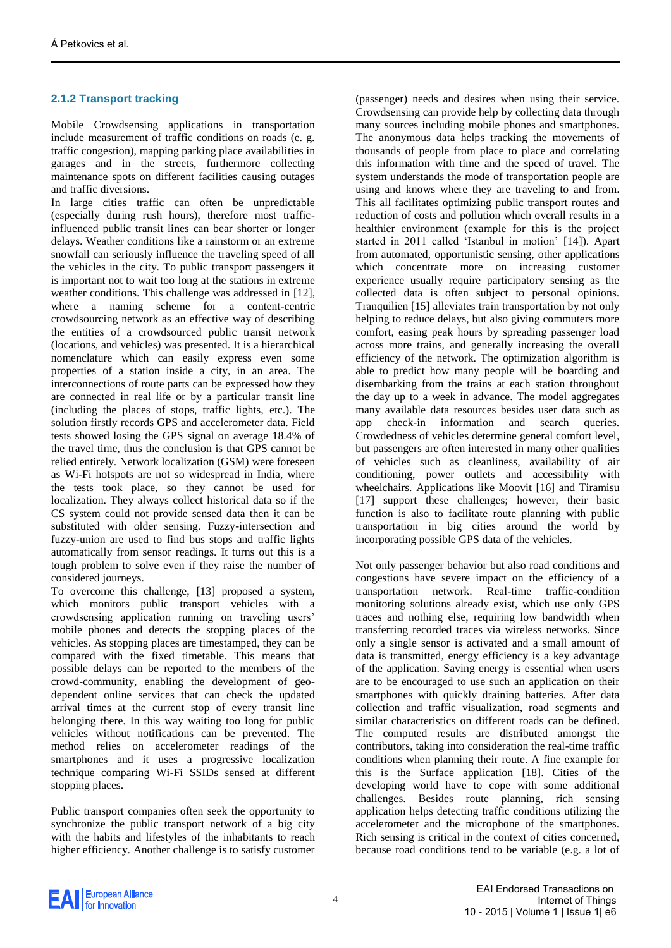#### **2.1.2 Transport tracking**

Mobile Crowdsensing applications in transportation include measurement of traffic conditions on roads (e. g. traffic congestion), mapping parking place availabilities in garages and in the streets, furthermore collecting maintenance spots on different facilities causing outages and traffic diversions.

In large cities traffic can often be unpredictable (especially during rush hours), therefore most trafficinfluenced public transit lines can bear shorter or longer delays. Weather conditions like a rainstorm or an extreme snowfall can seriously influence the traveling speed of all the vehicles in the city. To public transport passengers it is important not to wait too long at the stations in extreme weather conditions. This challenge was addressed in [\[12\],](#page-13-4) where a naming scheme for a content-centric crowdsourcing network as an effective way of describing the entities of a crowdsourced public transit network (locations, and vehicles) was presented. It is a hierarchical nomenclature which can easily express even some properties of a station inside a city, in an area. The interconnections of route parts can be expressed how they are connected in real life or by a particular transit line (including the places of stops, traffic lights, etc.). The solution firstly records GPS and accelerometer data. Field tests showed losing the GPS signal on average 18.4% of the travel time, thus the conclusion is that GPS cannot be relied entirely. Network localization (GSM) were foreseen as Wi-Fi hotspots are not so widespread in India, where the tests took place, so they cannot be used for localization. They always collect historical data so if the CS system could not provide sensed data then it can be substituted with older sensing. Fuzzy-intersection and fuzzy-union are used to find bus stops and traffic lights automatically from sensor readings. It turns out this is a tough problem to solve even if they raise the number of considered journeys.

To overcome this challenge, [\[13\]](#page-13-5) proposed a system, which monitors public transport vehicles with a crowdsensing application running on traveling users' mobile phones and detects the stopping places of the vehicles. As stopping places are timestamped, they can be compared with the fixed timetable. This means that possible delays can be reported to the members of the crowd-community, enabling the development of geodependent online services that can check the updated arrival times at the current stop of every transit line belonging there. In this way waiting too long for public vehicles without notifications can be prevented. The method relies on accelerometer readings of the smartphones and it uses a progressive localization technique comparing Wi-Fi SSIDs sensed at different stopping places.

Public transport companies often seek the opportunity to synchronize the public transport network of a big city with the habits and lifestyles of the inhabitants to reach higher efficiency. Another challenge is to satisfy customer (passenger) needs and desires when using their service. Crowdsensing can provide help by collecting data through many sources including mobile phones and smartphones. The anonymous data helps tracking the movements of thousands of people from place to place and correlating this information with time and the speed of travel. The system understands the mode of transportation people are using and knows where they are traveling to and from. This all facilitates optimizing public transport routes and reduction of costs and pollution which overall results in a healthier environment (example for this is the project started in 2011 called 'Istanbul in motion' [\[14\]\)](#page-13-6). Apart from automated, opportunistic sensing, other applications which concentrate more on increasing customer experience usually require participatory sensing as the collected data is often subject to personal opinions. Tranquilien [\[15\]](#page-13-7) alleviates train transportation by not only helping to reduce delays, but also giving commuters more comfort, easing peak hours by spreading passenger load across more trains, and generally increasing the overall efficiency of the network. The optimization algorithm is able to predict how many people will be boarding and disembarking from the trains at each station throughout the day up to a week in advance. The model aggregates many available data resources besides user data such as app check-in information and search queries. Crowdedness of vehicles determine general comfort level, but passengers are often interested in many other qualities of vehicles such as cleanliness, availability of air conditioning, power outlets and accessibility with wheelchairs. Applications like Moovit [\[16\]](#page-13-8) and Tiramisu [\[17\]](#page-13-9) support these challenges; however, their basic function is also to facilitate route planning with public transportation in big cities around the world by incorporating possible GPS data of the vehicles.

Not only passenger behavior but also road conditions and congestions have severe impact on the efficiency of a transportation network. Real-time traffic-condition monitoring solutions already exist, which use only GPS traces and nothing else, requiring low bandwidth when transferring recorded traces via wireless networks. Since only a single sensor is activated and a small amount of data is transmitted, energy efficiency is a key advantage of the application. Saving energy is essential when users are to be encouraged to use such an application on their smartphones with quickly draining batteries. After data collection and traffic visualization, road segments and similar characteristics on different roads can be defined. The computed results are distributed amongst the contributors, taking into consideration the real-time traffic conditions when planning their route. A fine example for this is the Surface application [\[18\].](#page-13-10) Cities of the developing world have to cope with some additional challenges. Besides route planning, rich sensing application helps detecting traffic conditions utilizing the accelerometer and the microphone of the smartphones. Rich sensing is critical in the context of cities concerned, because road conditions tend to be variable (e.g. a lot of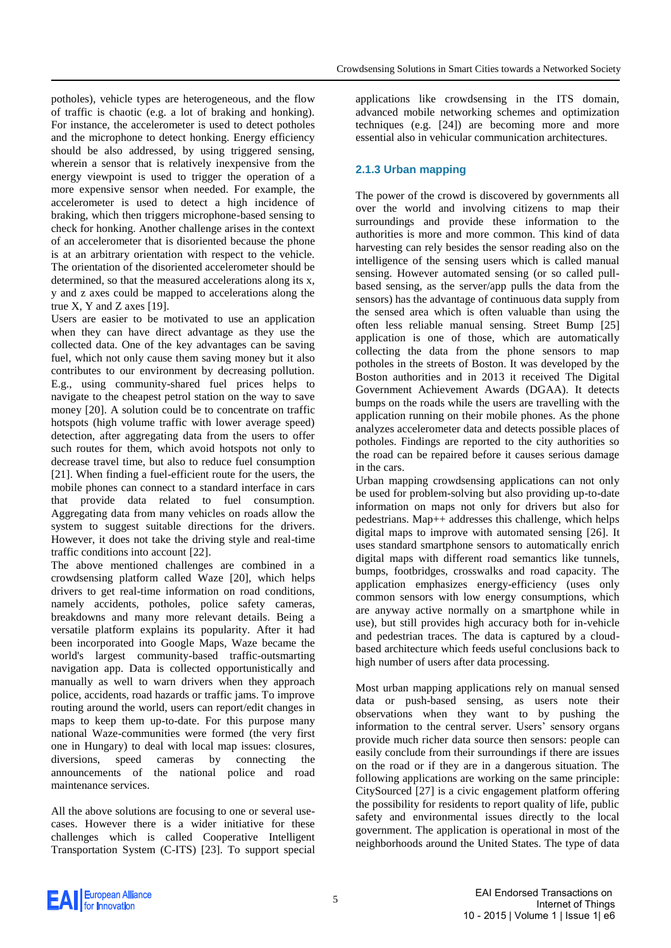potholes), vehicle types are heterogeneous, and the flow of traffic is chaotic (e.g. a lot of braking and honking). For instance, the accelerometer is used to detect potholes and the microphone to detect honking. Energy efficiency should be also addressed, by using triggered sensing, wherein a sensor that is relatively inexpensive from the energy viewpoint is used to trigger the operation of a more expensive sensor when needed. For example, the accelerometer is used to detect a high incidence of braking, which then triggers microphone-based sensing to check for honking. Another challenge arises in the context of an accelerometer that is disoriented because the phone is at an arbitrary orientation with respect to the vehicle. The orientation of the disoriented accelerometer should be determined, so that the measured accelerations along its x, y and z axes could be mapped to accelerations along the true X, Y and Z axes [\[19\].](#page-13-11)

Users are easier to be motivated to use an application when they can have direct advantage as they use the collected data. One of the key advantages can be saving fuel, which not only cause them saving money but it also contributes to our environment by decreasing pollution. E.g., using community-shared fuel prices helps to navigate to the cheapest petrol station on the way to save money [\[20\].](#page-13-12) A solution could be to concentrate on traffic hotspots (high volume traffic with lower average speed) detection, after aggregating data from the users to offer such routes for them, which avoid hotspots not only to decrease travel time, but also to reduce fuel consumption [\[21\].](#page-13-13) When finding a fuel-efficient route for the users, the mobile phones can connect to a standard interface in cars that provide data related to fuel consumption. Aggregating data from many vehicles on roads allow the system to suggest suitable directions for the drivers. However, it does not take the driving style and real-time traffic conditions into account [\[22\].](#page-13-14)

The above mentioned challenges are combined in a crowdsensing platform called Waze [\[20\],](#page-13-12) which helps drivers to get real-time information on road conditions, namely accidents, potholes, police safety cameras, breakdowns and many more relevant details. Being a versatile platform explains its popularity. After it had been incorporated into Google Maps, Waze became the world's largest community-based traffic-outsmarting navigation app. Data is collected opportunistically and manually as well to warn drivers when they approach police, accidents, road hazards or traffic jams. To improve routing around the world, users can report/edit changes in maps to keep them up-to-date. For this purpose many national Waze-communities were formed (the very first one in Hungary) to deal with local map issues: closures, diversions, speed cameras by connecting the announcements of the national police and road maintenance services.

All the above solutions are focusing to one or several usecases. However there is a wider initiative for these challenges which is called Cooperative Intelligent Transportation System (C-ITS) [\[23\].](#page-13-15) To support special applications like crowdsensing in the ITS domain, advanced mobile networking schemes and optimization techniques (e.g. [\[24\]\)](#page-13-16) are becoming more and more essential also in vehicular communication architectures.

#### **2.1.3 Urban mapping**

The power of the crowd is discovered by governments all over the world and involving citizens to map their surroundings and provide these information to the authorities is more and more common. This kind of data harvesting can rely besides the sensor reading also on the intelligence of the sensing users which is called manual sensing. However automated sensing (or so called pullbased sensing, as the server/app pulls the data from the sensors) has the advantage of continuous data supply from the sensed area which is often valuable than using the often less reliable manual sensing. Street Bump [\[25\]](#page-13-17) application is one of those, which are automatically collecting the data from the phone sensors to map potholes in the streets of Boston. It was developed by the Boston authorities and in 2013 it received The Digital Government Achievement Awards (DGAA). It detects bumps on the roads while the users are travelling with the application running on their mobile phones. As the phone analyzes accelerometer data and detects possible places of potholes. Findings are reported to the city authorities so the road can be repaired before it causes serious damage in the cars.

Urban mapping crowdsensing applications can not only be used for problem-solving but also providing up-to-date information on maps not only for drivers but also for pedestrians. Map++ addresses this challenge, which helps digital maps to improve with automated sensing [\[26\].](#page-13-18) It uses standard smartphone sensors to automatically enrich digital maps with different road semantics like tunnels, bumps, footbridges, crosswalks and road capacity. The application emphasizes energy-efficiency (uses only common sensors with low energy consumptions, which are anyway active normally on a smartphone while in use), but still provides high accuracy both for in-vehicle and pedestrian traces. The data is captured by a cloudbased architecture which feeds useful conclusions back to high number of users after data processing.

Most urban mapping applications rely on manual sensed data or push-based sensing, as users note their observations when they want to by pushing the information to the central server. Users' sensory organs provide much richer data source then sensors: people can easily conclude from their surroundings if there are issues on the road or if they are in a dangerous situation. The following applications are working on the same principle: CitySourced [\[27\]](#page-13-19) is a civic engagement platform offering the possibility for residents to report quality of life, public safety and environmental issues directly to the local government. The application is operational in most of the neighborhoods around the United States. The type of data

Al European Alliance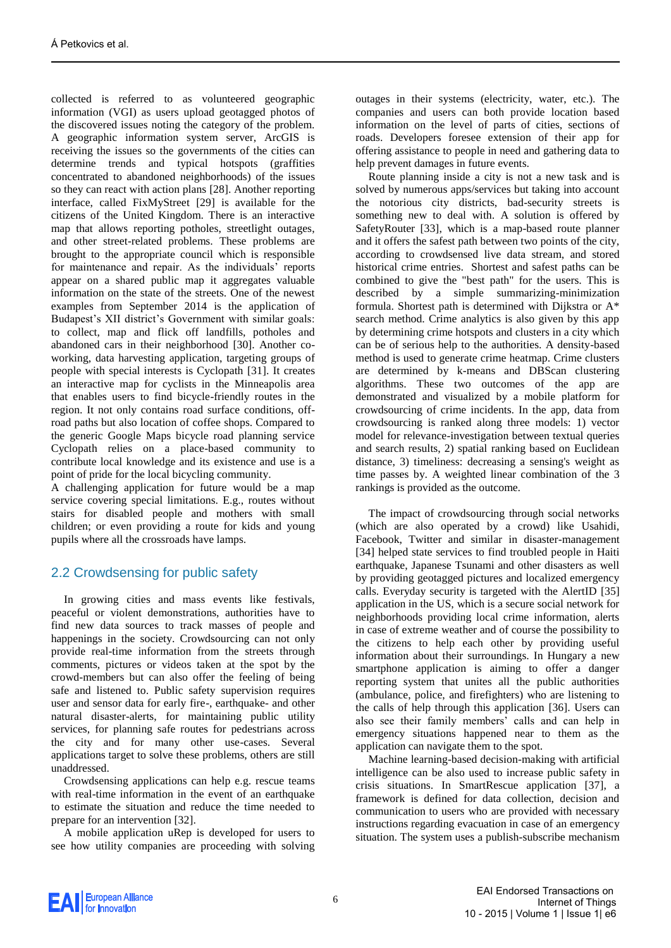collected is referred to as volunteered geographic information (VGI) as users upload geotagged photos of the discovered issues noting the category of the problem. A geographic information system server, ArcGIS is receiving the issues so the governments of the cities can determine trends and typical hotspots (graffities concentrated to abandoned neighborhoods) of the issues so they can react with action plans [\[28\].](#page-13-20) Another reporting interface, called FixMyStreet [\[29\]](#page-13-21) is available for the citizens of the United Kingdom. There is an interactive map that allows reporting potholes, streetlight outages, and other street-related problems. These problems are brought to the appropriate council which is responsible for maintenance and repair. As the individuals' reports appear on a shared public map it aggregates valuable information on the state of the streets. One of the newest examples from September 2014 is the application of Budapest's XII district's Government with similar goals: to collect, map and flick off landfills, potholes and abandoned cars in their neighborhood [\[30\].](#page-13-22) Another coworking, data harvesting application, targeting groups of people with special interests is Cyclopath [\[31\].](#page-13-23) It creates an interactive map for cyclists in the Minneapolis area that enables users to find bicycle-friendly routes in the region. It not only contains road surface conditions, offroad paths but also location of coffee shops. Compared to the generic Google Maps bicycle road planning service Cyclopath relies on a place-based community to contribute local knowledge and its existence and use is a point of pride for the local bicycling community.

A challenging application for future would be a map service covering special limitations. E.g., routes without stairs for disabled people and mothers with small children; or even providing a route for kids and young pupils where all the crossroads have lamps.

## 2.2 Crowdsensing for public safety

In growing cities and mass events like festivals, peaceful or violent demonstrations, authorities have to find new data sources to track masses of people and happenings in the society. Crowdsourcing can not only provide real-time information from the streets through comments, pictures or videos taken at the spot by the crowd-members but can also offer the feeling of being safe and listened to. Public safety supervision requires user and sensor data for early fire-, earthquake- and other natural disaster-alerts, for maintaining public utility services, for planning safe routes for pedestrians across the city and for many other use-cases. Several applications target to solve these problems, others are still unaddressed.

Crowdsensing applications can help e.g. rescue teams with real-time information in the event of an earthquake to estimate the situation and reduce the time needed to prepare for an interventio[n \[32\].](#page-13-24)

A mobile application uRep is developed for users to see how utility companies are proceeding with solving outages in their systems (electricity, water, etc.). The companies and users can both provide location based information on the level of parts of cities, sections of roads. Developers foresee extension of their app for offering assistance to people in need and gathering data to help prevent damages in future events.

Route planning inside a city is not a new task and is solved by numerous apps/services but taking into account the notorious city districts, bad-security streets is something new to deal with. A solution is offered by SafetyRouter [\[33\],](#page-13-25) which is a map-based route planner and it offers the safest path between two points of the city, according to crowdsensed live data stream, and stored historical crime entries. Shortest and safest paths can be combined to give the "best path" for the users. This is described by a simple summarizing-minimization formula. Shortest path is determined with Dijkstra or A\* search method. Crime analytics is also given by this app by determining crime hotspots and clusters in a city which can be of serious help to the authorities. A density-based method is used to generate crime heatmap. Crime clusters are determined by k-means and DBScan clustering algorithms. These two outcomes of the app are demonstrated and visualized by a mobile platform for crowdsourcing of crime incidents. In the app, data from crowdsourcing is ranked along three models: 1) vector model for relevance-investigation between textual queries and search results, 2) spatial ranking based on Euclidean distance, 3) timeliness: decreasing a sensing's weight as time passes by. A weighted linear combination of the 3 rankings is provided as the outcome.

The impact of crowdsourcing through social networks (which are also operated by a crowd) like Usahidi, Facebook, Twitter and similar in disaster-management [\[34\]](#page-13-26) helped state services to find troubled people in Haiti earthquake, Japanese Tsunami and other disasters as well by providing geotagged pictures and localized emergency calls. Everyday security is targeted with the AlertID [\[35\]](#page-13-27) application in the US, which is a secure social network for neighborhoods providing local crime information, alerts in case of extreme weather and of course the possibility to the citizens to help each other by providing useful information about their surroundings. In Hungary a new smartphone application is aiming to offer a danger reporting system that unites all the public authorities (ambulance, police, and firefighters) who are listening to the calls of help through this application [\[36\].](#page-13-28) Users can also see their family members' calls and can help in emergency situations happened near to them as the application can navigate them to the spot.

Machine learning-based decision-making with artificial intelligence can be also used to increase public safety in crisis situations. In SmartRescue application [\[37\],](#page-13-29) a framework is defined for data collection, decision and communication to users who are provided with necessary instructions regarding evacuation in case of an emergency situation. The system uses a publish-subscribe mechanism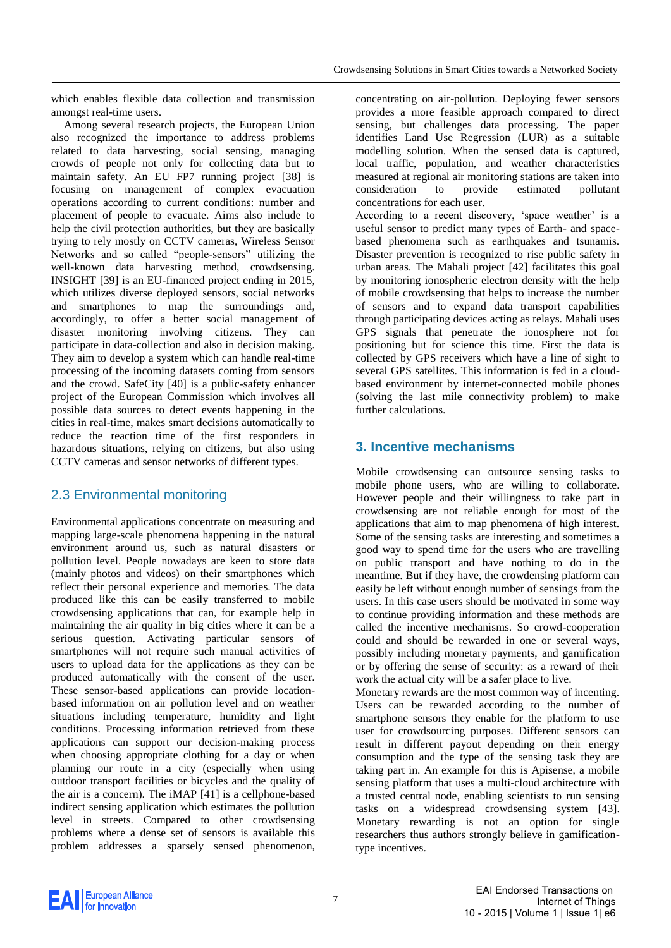which enables flexible data collection and transmission amongst real-time users.

Among several research projects, the European Union also recognized the importance to address problems related to data harvesting, social sensing, managing crowds of people not only for collecting data but to maintain safety. An EU FP7 running project [\[38\]](#page-13-30) is focusing on management of complex evacuation operations according to current conditions: number and placement of people to evacuate. Aims also include to help the civil protection authorities, but they are basically trying to rely mostly on CCTV cameras, Wireless Sensor Networks and so called "people-sensors" utilizing the well-known data harvesting method, crowdsensing. INSIGHT [\[39\]](#page-13-31) is an EU-financed project ending in 2015, which utilizes diverse deployed sensors, social networks and smartphones to map the surroundings and, accordingly, to offer a better social management of disaster monitoring involving citizens. They can participate in data-collection and also in decision making. They aim to develop a system which can handle real-time processing of the incoming datasets coming from sensors and the crowd. SafeCity [\[40\]](#page-13-32) is a public-safety enhancer project of the European Commission which involves all possible data sources to detect events happening in the cities in real-time, makes smart decisions automatically to reduce the reaction time of the first responders in hazardous situations, relying on citizens, but also using CCTV cameras and sensor networks of different types.

## 2.3 Environmental monitoring

Environmental applications concentrate on measuring and mapping large-scale phenomena happening in the natural environment around us, such as natural disasters or pollution level. People nowadays are keen to store data (mainly photos and videos) on their smartphones which reflect their personal experience and memories. The data produced like this can be easily transferred to mobile crowdsensing applications that can, for example help in maintaining the air quality in big cities where it can be a serious question. Activating particular sensors of smartphones will not require such manual activities of users to upload data for the applications as they can be produced automatically with the consent of the user. These sensor-based applications can provide locationbased information on air pollution level and on weather situations including temperature, humidity and light conditions. Processing information retrieved from these applications can support our decision-making process when choosing appropriate clothing for a day or when planning our route in a city (especially when using outdoor transport facilities or bicycles and the quality of the air is a concern). The iMAP [\[41\]](#page-13-33) is a cellphone-based indirect sensing application which estimates the pollution level in streets. Compared to other crowdsensing problems where a dense set of sensors is available this problem addresses a sparsely sensed phenomenon,

concentrating on air-pollution. Deploying fewer sensors provides a more feasible approach compared to direct sensing, but challenges data processing. The paper identifies Land Use Regression (LUR) as a suitable modelling solution. When the sensed data is captured, local traffic, population, and weather characteristics measured at regional air monitoring stations are taken into consideration to provide estimated pollutant concentrations for each user.

According to a recent discovery, 'space weather' is a useful sensor to predict many types of Earth- and spacebased phenomena such as earthquakes and tsunamis. Disaster prevention is recognized to rise public safety in urban areas. The Mahali project [\[42\]](#page-13-34) facilitates this goal by monitoring ionospheric electron density with the help of mobile crowdsensing that helps to increase the number of sensors and to expand data transport capabilities through participating devices acting as relays. Mahali uses GPS signals that penetrate the ionosphere not for positioning but for science this time. First the data is collected by GPS receivers which have a line of sight to several GPS satellites. This information is fed in a cloudbased environment by internet-connected mobile phones (solving the last mile connectivity problem) to make further calculations.

# **3. Incentive mechanisms**

Mobile crowdsensing can outsource sensing tasks to mobile phone users, who are willing to collaborate. However people and their willingness to take part in crowdsensing are not reliable enough for most of the applications that aim to map phenomena of high interest. Some of the sensing tasks are interesting and sometimes a good way to spend time for the users who are travelling on public transport and have nothing to do in the meantime. But if they have, the crowdensing platform can easily be left without enough number of sensings from the users. In this case users should be motivated in some way to continue providing information and these methods are called the incentive mechanisms. So crowd-cooperation could and should be rewarded in one or several ways, possibly including monetary payments, and gamification or by offering the sense of security: as a reward of their work the actual city will be a safer place to live.

Monetary rewards are the most common way of incenting. Users can be rewarded according to the number of smartphone sensors they enable for the platform to use user for crowdsourcing purposes. Different sensors can result in different payout depending on their energy consumption and the type of the sensing task they are taking part in. An example for this is Apisense, a mobile sensing platform that uses a multi-cloud architecture with a trusted central node, enabling scientists to run sensing tasks on a widespread crowdsensing system [\[43\].](#page-13-35) Monetary rewarding is not an option for single researchers thus authors strongly believe in gamificationtype incentives.

**EAI** European Alliance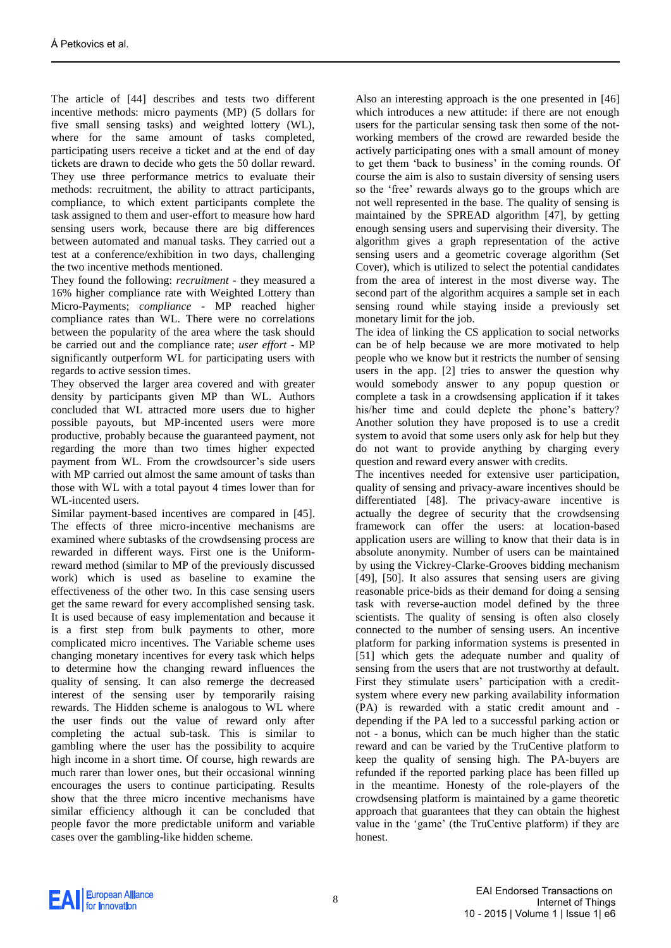The article of [\[44\]](#page-13-36) describes and tests two different incentive methods: micro payments (MP) (5 dollars for five small sensing tasks) and weighted lottery (WL), where for the same amount of tasks completed, participating users receive a ticket and at the end of day tickets are drawn to decide who gets the 50 dollar reward. They use three performance metrics to evaluate their methods: recruitment, the ability to attract participants, compliance, to which extent participants complete the task assigned to them and user-effort to measure how hard sensing users work, because there are big differences between automated and manual tasks. They carried out a test at a conference/exhibition in two days, challenging the two incentive methods mentioned.

They found the following: *recruitment -* they measured a 16% higher compliance rate with Weighted Lottery than Micro-Payments; *compliance -* MP reached higher compliance rates than WL. There were no correlations between the popularity of the area where the task should be carried out and the compliance rate; *user effort -* MP significantly outperform WL for participating users with regards to active session times.

They observed the larger area covered and with greater density by participants given MP than WL. Authors concluded that WL attracted more users due to higher possible payouts, but MP-incented users were more productive, probably because the guaranteed payment, not regarding the more than two times higher expected payment from WL. From the crowdsourcer's side users with MP carried out almost the same amount of tasks than those with WL with a total payout 4 times lower than for WL-incented users.

Similar payment-based incentives are compared in [\[45\].](#page-13-37) The effects of three micro-incentive mechanisms are examined where subtasks of the crowdsensing process are rewarded in different ways. First one is the Uniformreward method (similar to MP of the previously discussed work) which is used as baseline to examine the effectiveness of the other two. In this case sensing users get the same reward for every accomplished sensing task. It is used because of easy implementation and because it is a first step from bulk payments to other, more complicated micro incentives. The Variable scheme uses changing monetary incentives for every task which helps to determine how the changing reward influences the quality of sensing. It can also remerge the decreased interest of the sensing user by temporarily raising rewards. The Hidden scheme is analogous to WL where the user finds out the value of reward only after completing the actual sub-task. This is similar to gambling where the user has the possibility to acquire high income in a short time. Of course, high rewards are much rarer than lower ones, but their occasional winning encourages the users to continue participating. Results show that the three micro incentive mechanisms have similar efficiency although it can be concluded that people favor the more predictable uniform and variable cases over the gambling-like hidden scheme.

Also an interesting approach is the one presented in [\[46\]](#page-13-38) which introduces a new attitude: if there are not enough users for the particular sensing task then some of the notworking members of the crowd are rewarded beside the actively participating ones with a small amount of money to get them 'back to business' in the coming rounds. Of course the aim is also to sustain diversity of sensing users so the 'free' rewards always go to the groups which are not well represented in the base. The quality of sensing is maintained by the SPREAD algorithm [\[47\],](#page-13-39) by getting enough sensing users and supervising their diversity. The algorithm gives a graph representation of the active sensing users and a geometric coverage algorithm (Set Cover), which is utilized to select the potential candidates from the area of interest in the most diverse way. The second part of the algorithm acquires a sample set in each sensing round while staying inside a previously set monetary limit for the job.

The idea of linking the CS application to social networks can be of help because we are more motivated to help people who we know but it restricts the number of sensing users in the app. [\[2\]](#page-12-1) tries to answer the question why would somebody answer to any popup question or complete a task in a crowdsensing application if it takes his/her time and could deplete the phone's battery? Another solution they have proposed is to use a credit system to avoid that some users only ask for help but they do not want to provide anything by charging every question and reward every answer with credits.

The incentives needed for extensive user participation, quality of sensing and privacy-aware incentives should be differentiated [\[48\].](#page-13-40) The privacy-aware incentive is actually the degree of security that the crowdsensing framework can offer the users: at location-based application users are willing to know that their data is in absolute anonymity. Number of users can be maintained by using the Vickrey-Clarke-Grooves bidding mechanism [\[49\],](#page-13-41) [\[50\].](#page-13-42) It also assures that sensing users are giving reasonable price-bids as their demand for doing a sensing task with reverse-auction model defined by the three scientists. The quality of sensing is often also closely connected to the number of sensing users. An incentive platform for parking information systems is presented in [\[51\]](#page-13-43) which gets the adequate number and quality of sensing from the users that are not trustworthy at default. First they stimulate users' participation with a creditsystem where every new parking availability information (PA) is rewarded with a static credit amount and depending if the PA led to a successful parking action or not - a bonus, which can be much higher than the static reward and can be varied by the TruCentive platform to keep the quality of sensing high. The PA-buyers are refunded if the reported parking place has been filled up in the meantime. Honesty of the role-players of the crowdsensing platform is maintained by a game theoretic approach that guarantees that they can obtain the highest value in the 'game' (the TruCentive platform) if they are honest.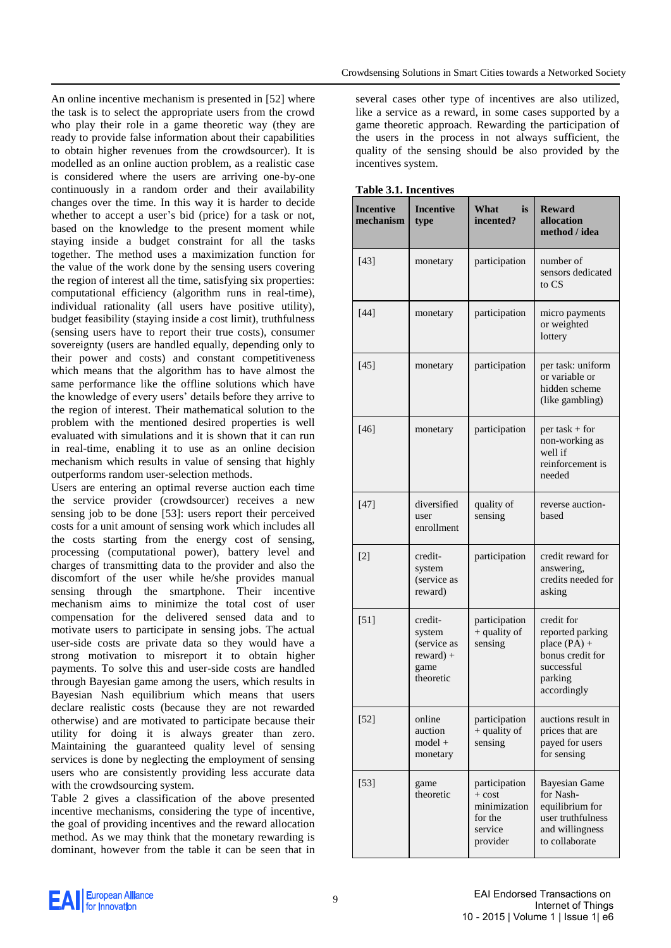An online incentive mechanism is presented in [\[52\]](#page-13-44) where the task is to select the appropriate users from the crowd who play their role in a game theoretic way (they are ready to provide false information about their capabilities to obtain higher revenues from the crowdsourcer). It is modelled as an online auction problem, as a realistic case is considered where the users are arriving one-by-one continuously in a random order and their availability changes over the time. In this way it is harder to decide whether to accept a user's bid (price) for a task or not, based on the knowledge to the present moment while staying inside a budget constraint for all the tasks together. The method uses a maximization function for the value of the work done by the sensing users covering the region of interest all the time, satisfying six properties: computational efficiency (algorithm runs in real-time), individual rationality (all users have positive utility), budget feasibility (staying inside a cost limit), truthfulness (sensing users have to report their true costs), consumer sovereignty (users are handled equally, depending only to their power and costs) and constant competitiveness which means that the algorithm has to have almost the same performance like the offline solutions which have the knowledge of every users' details before they arrive to the region of interest. Their mathematical solution to the problem with the mentioned desired properties is well evaluated with simulations and it is shown that it can run in real-time, enabling it to use as an online decision mechanism which results in value of sensing that highly outperforms random user-selection methods.

Users are entering an optimal reverse auction each time the service provider (crowdsourcer) receives a new sensing job to be done [\[53\]:](#page-14-0) users report their perceived costs for a unit amount of sensing work which includes all the costs starting from the energy cost of sensing, processing (computational power), battery level and charges of transmitting data to the provider and also the discomfort of the user while he/she provides manual sensing through the smartphone. Their incentive mechanism aims to minimize the total cost of user compensation for the delivered sensed data and to motivate users to participate in sensing jobs. The actual user-side costs are private data so they would have a strong motivation to misreport it to obtain higher payments. To solve this and user-side costs are handled through Bayesian game among the users, which results in Bayesian Nash equilibrium which means that users declare realistic costs (because they are not rewarded otherwise) and are motivated to participate because their utility for doing it is always greater than zero. Maintaining the guaranteed quality level of sensing services is done by neglecting the employment of sensing users who are consistently providing less accurate data with the crowdsourcing system.

Table 2 gives a classification of the above presented incentive mechanisms, considering the type of incentive, the goal of providing incentives and the reward allocation method. As we may think that the monetary rewarding is dominant, however from the table it can be seen that in several cases other type of incentives are also utilized, like a service as a reward, in some cases supported by a game theoretic approach. Rewarding the participation of the users in the process in not always sufficient, the quality of the sensing should be also provided by the incentives system.

| таріс э.т. пісеничел<br><b>Incentive</b><br>mechanism | <b>Incentive</b><br>type                                             | What<br><i>is</i><br>incented?                                              | <b>Reward</b><br>allocation<br>method / idea                                                                   |
|-------------------------------------------------------|----------------------------------------------------------------------|-----------------------------------------------------------------------------|----------------------------------------------------------------------------------------------------------------|
| $[43]$                                                | monetary                                                             | participation                                                               | number of<br>sensors dedicated<br>to CS                                                                        |
| $[44]$                                                | monetary                                                             | participation                                                               | micro payments<br>or weighted<br>lottery                                                                       |
| [45]                                                  | monetary                                                             | participation                                                               | per task: uniform<br>or variable or<br>hidden scheme<br>(like gambling)                                        |
| $[46]$                                                | monetary                                                             | participation                                                               | $per$ task + for<br>non-working as<br>well if<br>reinforcement is<br>needed                                    |
| $[47]$                                                | diversified<br>user<br>enrollment                                    | quality of<br>sensing                                                       | reverse auction-<br>based                                                                                      |
| $[2]$                                                 | credit-<br>system<br>(service as<br>reward)                          | participation                                                               | credit reward for<br>answering,<br>credits needed for<br>asking                                                |
| $[51]$                                                | credit-<br>system<br>(service as<br>$reward) +$<br>game<br>theoretic | participation<br>+ quality of<br>sensing                                    | credit for<br>reported parking<br>place $(PA)$ +<br>bonus credit for<br>successful<br>parking<br>accordingly   |
| $[52]$                                                | online<br>auction<br>$model +$<br>monetary                           | participation<br>$+$ quality of<br>sensing                                  | auctions result in<br>prices that are<br>payed for users<br>for sensing                                        |
| $[53]$                                                | game<br>theoretic                                                    | participation<br>$+ cost$<br>minimization<br>for the<br>service<br>provider | <b>Bayesian Game</b><br>for Nash-<br>equilibrium for<br>user truthfulness<br>and willingness<br>to collaborate |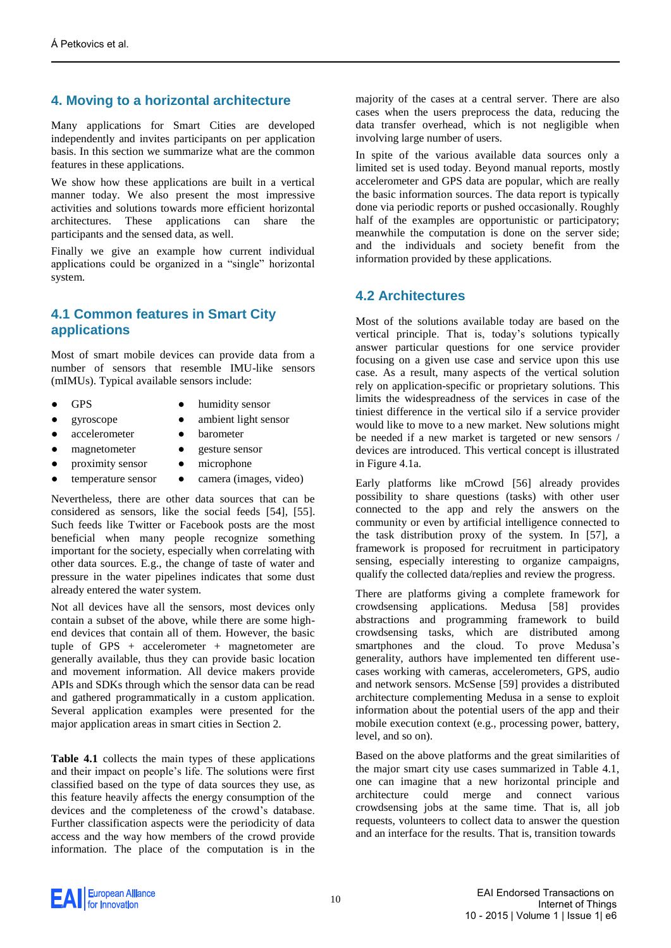# **4. Moving to a horizontal architecture**

Many applications for Smart Cities are developed independently and invites participants on per application basis. In this section we summarize what are the common features in these applications.

We show how these applications are built in a vertical manner today. We also present the most impressive activities and solutions towards more efficient horizontal architectures. These applications can share the participants and the sensed data, as well.

Finally we give an example how current individual applications could be organized in a "single" horizontal system.

#### **4.1 Common features in Smart City applications**

Most of smart mobile devices can provide data from a number of sensors that resemble IMU-like sensors (mIMUs). Typical available sensors include:

- **GPS**
- humidity sensor
- gyroscope
- ambient light sensor **barometer**
- accelerometer magnetometer
- gesture sensor
- proximity sensor • microphone

temperature sensor

• camera (images, video)

Nevertheless, there are other data sources that can be considered as sensors, like the social feeds [\[54\],](#page-14-1) [\[55\].](#page-14-2) Such feeds like Twitter or Facebook posts are the most beneficial when many people recognize something important for the society, especially when correlating with other data sources. E.g., the change of taste of water and pressure in the water pipelines indicates that some dust already entered the water system.

Not all devices have all the sensors, most devices only contain a subset of the above, while there are some highend devices that contain all of them. However, the basic tuple of GPS +  $accelerometer$  + magnetometer are generally available, thus they can provide basic location and movement information. All device makers provide APIs and SDKs through which the sensor data can be read and gathered programmatically in a custom application. Several application examples were presented for the major application areas in smart cities in Section 2.

**Table 4.1** collects the main types of these applications and their impact on people's life. The solutions were first classified based on the type of data sources they use, as this feature heavily affects the energy consumption of the devices and the completeness of the crowd's database. Further classification aspects were the periodicity of data access and the way how members of the crowd provide information. The place of the computation is in the majority of the cases at a central server. There are also cases when the users preprocess the data, reducing the data transfer overhead, which is not negligible when involving large number of users.

In spite of the various available data sources only a limited set is used today. Beyond manual reports, mostly accelerometer and GPS data are popular, which are really the basic information sources. The data report is typically done via periodic reports or pushed occasionally. Roughly half of the examples are opportunistic or participatory; meanwhile the computation is done on the server side; and the individuals and society benefit from the information provided by these applications.

#### **4.2 Architectures**

Most of the solutions available today are based on the vertical principle. That is, today's solutions typically answer particular questions for one service provider focusing on a given use case and service upon this use case. As a result, many aspects of the vertical solution rely on application-specific or proprietary solutions. This limits the widespreadness of the services in case of the tiniest difference in the vertical silo if a service provider would like to move to a new market. New solutions might be needed if a new market is targeted or new sensors / devices are introduced. This vertical concept is illustrated in Figure 4.1a.

Early platforms like mCrowd [\[56\]](#page-14-3) already provides possibility to share questions (tasks) with other user connected to the app and rely the answers on the community or even by artificial intelligence connected to the task distribution proxy of the system. In [\[57\],](#page-14-4) a framework is proposed for recruitment in participatory sensing, especially interesting to organize campaigns, qualify the collected data/replies and review the progress.

There are platforms giving a complete framework for crowdsensing applications. Medusa [\[58\]](#page-14-5) provides abstractions and programming framework to build crowdsensing tasks, which are distributed among smartphones and the cloud. To prove Medusa's generality, authors have implemented ten different usecases working with cameras, accelerometers, GPS, audio and network sensors. McSense [\[59\]](#page-14-6) provides a distributed architecture complementing Medusa in a sense to exploit information about the potential users of the app and their mobile execution context (e.g., processing power, battery, level, and so on).

Based on the above platforms and the great similarities of the major smart city use cases summarized in Table 4.1, one can imagine that a new horizontal principle and architecture could merge and connect various crowdsensing jobs at the same time. That is, all job requests, volunteers to collect data to answer the question and an interface for the results. That is, transition towards

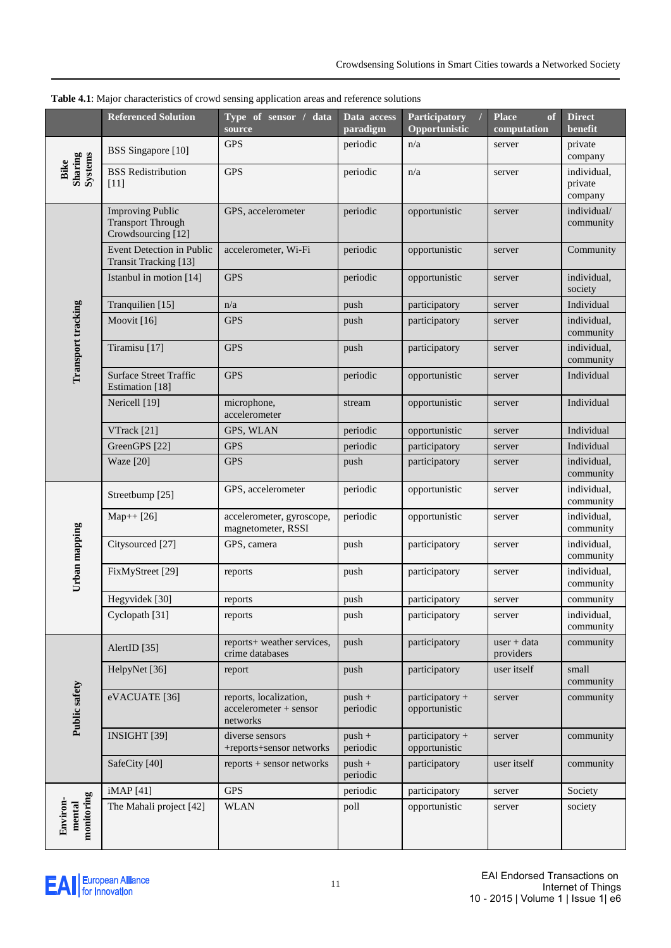|                                  | <b>Referenced Solution</b>                                                | Type of sensor / data<br>source                              | Data access<br>paradigm | Participatory<br>$\prime$<br>Opportunistic | <b>Place</b><br>of<br>computation | <b>Direct</b><br>benefit          |
|----------------------------------|---------------------------------------------------------------------------|--------------------------------------------------------------|-------------------------|--------------------------------------------|-----------------------------------|-----------------------------------|
| Sharing<br>Systems<br>Bike       | <b>BSS</b> Singapore [10]                                                 | <b>GPS</b>                                                   | periodic                | n/a                                        | server                            | private<br>company                |
|                                  | <b>BSS</b> Redistribution<br>[11]                                         | <b>GPS</b>                                                   | periodic                | n/a                                        | server                            | individual,<br>private<br>company |
|                                  | <b>Improving Public</b><br><b>Transport Through</b><br>Crowdsourcing [12] | GPS, accelerometer                                           | periodic                | opportunistic                              | server                            | individual/<br>community          |
|                                  | Event Detection in Public<br>Transit Tracking [13]                        | accelerometer, Wi-Fi                                         | periodic                | opportunistic                              | server                            | Community                         |
|                                  | Istanbul in motion [14]                                                   | <b>GPS</b>                                                   | periodic                | opportunistic                              | server                            | individual,<br>society            |
|                                  | Tranquilien [15]                                                          | n/a                                                          | push                    | participatory                              | server                            | Individual                        |
|                                  | Moovit [16]                                                               | <b>GPS</b>                                                   | push                    | participatory                              | server                            | individual,<br>community          |
| Transport tracking               | Tiramisu [17]                                                             | <b>GPS</b>                                                   | push                    | participatory                              | server                            | individual,<br>community          |
|                                  | <b>Surface Street Traffic</b><br>Estimation [18]                          | <b>GPS</b>                                                   | periodic                | opportunistic                              | server                            | Individual                        |
|                                  | Nericell [19]                                                             | microphone,<br>accelerometer                                 | stream                  | opportunistic                              | server                            | Individual                        |
|                                  | VTrack [21]                                                               | GPS, WLAN                                                    | periodic                | opportunistic                              | server                            | Individual                        |
|                                  | GreenGPS [22]                                                             | <b>GPS</b>                                                   | periodic                | participatory                              | server                            | Individual                        |
|                                  | <b>Waze</b> [20]                                                          | <b>GPS</b>                                                   | push                    | participatory                              | server                            | individual,<br>community          |
| Urban mapping                    | Streetbump [25]                                                           | GPS, accelerometer                                           | periodic                | opportunistic                              | server                            | individual,<br>community          |
|                                  | $Map++[26]$                                                               | accelerometer, gyroscope,<br>magnetometer, RSSI              | periodic                | opportunistic                              | server                            | individual,<br>community          |
|                                  | Citysourced [27]                                                          | GPS, camera                                                  | push                    | participatory                              | server                            | individual,<br>community          |
|                                  | FixMyStreet [29]                                                          | reports                                                      | push                    | participatory                              | server                            | individual,<br>community          |
|                                  | Hegyvidek [30]                                                            | reports                                                      | push                    | participatory                              | server                            | community                         |
|                                  | Cyclopath [31]                                                            | reports                                                      | push                    | participatory                              | server                            | individual,<br>community          |
|                                  | AlertID [35]                                                              | reports+ weather services,<br>crime databases                | push                    | participatory                              | $user + data$<br>providers        | community                         |
| Public safety                    | HelpyNet [36]                                                             | report                                                       | push                    | participatory                              | user itself                       | small<br>community                |
|                                  | eVACUATE [36]                                                             | reports, localization,<br>accelerometer + sensor<br>networks | $push +$<br>periodic    | participatory +<br>opportunistic           | server                            | community                         |
|                                  | INSIGHT [39]                                                              | diverse sensors<br>+reports+sensor networks                  | $push +$<br>periodic    | participatory +<br>opportunistic           | server                            | community                         |
|                                  | SafeCity [40]                                                             | reports + sensor networks                                    | $push +$<br>periodic    | participatory                              | user itself                       | community                         |
|                                  | iMAP [41]                                                                 | <b>GPS</b>                                                   | periodic                | participatory                              | server                            | Society                           |
| monitoring<br>Environ-<br>mental | The Mahali project [42]                                                   | <b>WLAN</b>                                                  | poll                    | opportunistic                              | server                            | society                           |

**Table 4.1**: Major characteristics of crowd sensing application areas and reference solutions

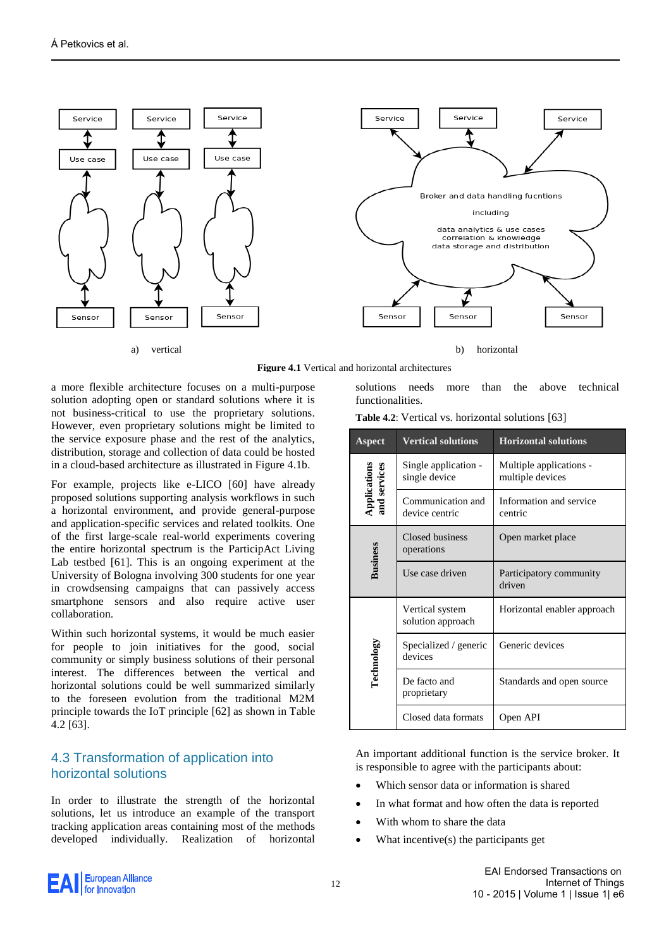





a) vertical b) horizontal



a more flexible architecture focuses on a multi-purpose solution adopting open or standard solutions where it is not business-critical to use the proprietary solutions. However, even proprietary solutions might be limited to the service exposure phase and the rest of the analytics, distribution, storage and collection of data could be hosted in a cloud-based architecture as illustrated in Figure 4.1b.

For example, projects like e-LICO [\[60\]](#page-14-7) have already proposed solutions supporting analysis workflows in such a horizontal environment, and provide general-purpose and application-specific services and related toolkits. One of the first large-scale real-world experiments covering the entire horizontal spectrum is the ParticipAct Living Lab testbed [\[61\].](#page-14-8) This is an ongoing experiment at the University of Bologna involving 300 students for one year in crowdsensing campaigns that can passively access smartphone sensors and also require active user collaboration.

Within such horizontal systems, it would be much easier for people to join initiatives for the good, social community or simply business solutions of their personal interest. The differences between the vertical and horizontal solutions could be well summarized similarly to the foreseen evolution from the traditional M2M principle towards the IoT principle [\[62\]](#page-14-9) as shown in Table 4.2 [\[63\].](#page-14-10)

## 4.3 Transformation of application into horizontal solutions

In order to illustrate the strength of the horizontal solutions, let us introduce an example of the transport tracking application areas containing most of the methods developed individually. Realization of horizontal

solutions needs more than the above technical functionalities.

|  |  | <b>Table 4.2:</b> Vertical vs. horizontal solutions [63] |  |  |
|--|--|----------------------------------------------------------|--|--|
|--|--|----------------------------------------------------------|--|--|

| Aspect                              | <b>Vertical solutions</b>             | <b>Horizontal solutions</b>                 |  |
|-------------------------------------|---------------------------------------|---------------------------------------------|--|
| <b>Applications</b><br>and services | Single application -<br>single device | Multiple applications -<br>multiple devices |  |
|                                     | Communication and<br>device centric   | Information and service<br>centric          |  |
|                                     | Closed business<br>operations         | Open market place                           |  |
| <b>Business</b>                     | Use case driven                       | Participatory community<br>driven           |  |
|                                     | Vertical system<br>solution approach  | Horizontal enabler approach                 |  |
| Technology                          | Specialized / generic<br>devices      | Generic devices                             |  |
|                                     | De facto and<br>proprietary           | Standards and open source                   |  |
|                                     | Closed data formats                   | Open API                                    |  |

An important additional function is the service broker. It is responsible to agree with the participants about:

- Which sensor data or information is shared
- In what format and how often the data is reported
- With whom to share the data
- What incentive(s) the participants get

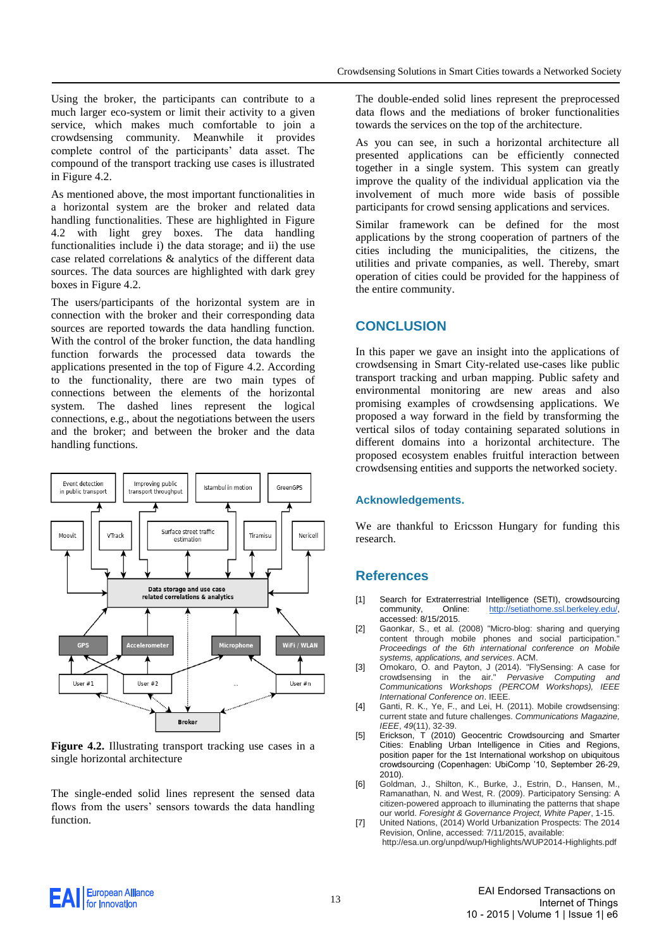Using the broker, the participants can contribute to a much larger eco-system or limit their activity to a given service, which makes much comfortable to join a crowdsensing community. Meanwhile it provides complete control of the participants' data asset. The compound of the transport tracking use cases is illustrated in Figure 4.2.

As mentioned above, the most important functionalities in a horizontal system are the broker and related data handling functionalities. These are highlighted in Figure 4.2 with light grey boxes. The data handling functionalities include i) the data storage; and ii) the use case related correlations & analytics of the different data sources. The data sources are highlighted with dark grey boxes in Figure 4.2.

The users/participants of the horizontal system are in connection with the broker and their corresponding data sources are reported towards the data handling function. With the control of the broker function, the data handling function forwards the processed data towards the applications presented in the top of Figure 4.2. According to the functionality, there are two main types of connections between the elements of the horizontal system. The dashed lines represent the logical connections, e.g., about the negotiations between the users and the broker; and between the broker and the data handling functions.



**Figure 4.2.** Illustrating transport tracking use cases in a single horizontal architecture

The single-ended solid lines represent the sensed data flows from the users' sensors towards the data handling function.

The double-ended solid lines represent the preprocessed data flows and the mediations of broker functionalities towards the services on the top of the architecture.

As you can see, in such a horizontal architecture all presented applications can be efficiently connected together in a single system. This system can greatly improve the quality of the individual application via the involvement of much more wide basis of possible participants for crowd sensing applications and services.

Similar framework can be defined for the most applications by the strong cooperation of partners of the cities including the municipalities, the citizens, the utilities and private companies, as well. Thereby, smart operation of cities could be provided for the happiness of the entire community.

#### **CONCLUSION**

In this paper we gave an insight into the applications of crowdsensing in Smart City-related use-cases like public transport tracking and urban mapping. Public safety and environmental monitoring are new areas and also promising examples of crowdsensing applications. We proposed a way forward in the field by transforming the vertical silos of today containing separated solutions in different domains into a horizontal architecture. The proposed ecosystem enables fruitful interaction between crowdsensing entities and supports the networked society.

#### **Acknowledgements.**

We are thankful to Ericsson Hungary for funding this research.

#### **References**

- <span id="page-12-0"></span>[1] Search for Extraterrestrial Intelligence (SETI), crowdsourcing<br>community, Online: http://setiathome.ssl.berkeley.edu/, Online: http://setiathome.ssl.berkeley.edu/ accessed: 8/15/2015.
- <span id="page-12-1"></span>[2] Gaonkar, S., et al. (2008) "Micro-blog: sharing and querying content through mobile phones and social participation. *Proceedings of the 6th international conference on Mobile systems, applications, and services*. ACM.
- <span id="page-12-2"></span>[3] Omokaro, O. and Payton, J (2014). "FlySensing: A case for<br>crowdsensing in the air." Pervasive Computing and crowdsensing in the air." *Pervasive Computing and Communications Workshops (PERCOM Workshops), IEEE International Conference on*. IEEE.
- <span id="page-12-3"></span>[4] Ganti, R. K., Ye, F., and Lei, H. (2011). Mobile crowdsensing: current state and future challenges. *Communications Magazine, IEEE*, *49*(11), 32-39.
- <span id="page-12-4"></span>[5] Erickson, T (2010) Geocentric Crowdsourcing and Smarter Cities: Enabling Urban Intelligence in Cities and Regions, position paper for the 1st International workshop on ubiquitous crowdsourcing (Copenhagen: UbiComp '10, September 26-29, 2010).
- <span id="page-12-5"></span>[6] Goldman, J., Shilton, K., Burke, J., Estrin, D., Hansen, M., Ramanathan, N. and West, R. (2009). Participatory Sensing: A citizen-powered approach to illuminating the patterns that shape our world. *Foresight & Governance Project, White Paper*, 1-15.
- <span id="page-12-6"></span>[7] United Nations, (2014) World Urbanization Prospects: The 2014 Revision, Online, accessed: 7/11/2015, available: http://esa.un.org/unpd/wup/Highlights/WUP2014-Highlights.pdf

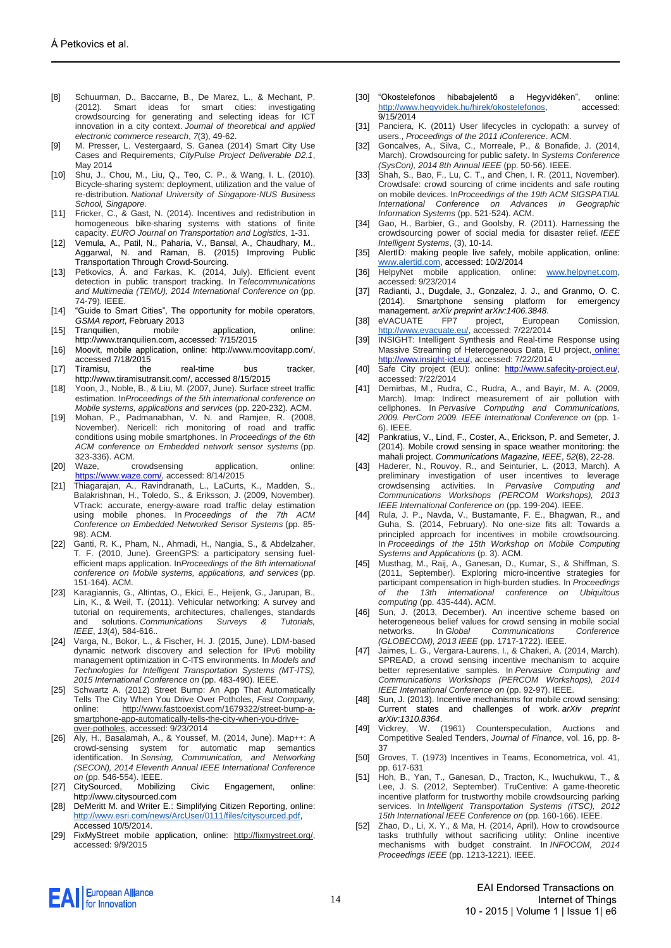- <span id="page-13-0"></span>[8] Schuurman, D., Baccarne, B., De Marez, L., & Mechant, P. (2012). Smart ideas for smart cities: investigating crowdsourcing for generating and selecting ideas for ICT innovation in a city context. *Journal of theoretical and applied electronic commerce research*, *7*(3), 49-62.
- <span id="page-13-1"></span>[9] M. Presser, L. Vestergaard, S. Ganea (2014) Smart City Use Cases and Requirements, *CityPulse Project Deliverable D2.1*, May 2014
- <span id="page-13-2"></span>[10] Shu, J., Chou, M., Liu, Q., Teo, C. P., & Wang, I. L. (2010). Bicycle-sharing system: deployment, utilization and the value of re-distribution. *National University of Singapore-NUS Business School, Singapore*.
- <span id="page-13-3"></span>[11] Fricker, C., & Gast, N. (2014). Incentives and redistribution in homogeneous bike-sharing systems with stations of finite capacity. *EURO Journal on Transportation and Logistics*, 1-31.
- <span id="page-13-4"></span>[12] Vemula, A., Patil, N., Paharia, V., Bansal, A., Chaudhary, M. Aggarwal, N. and Raman, B. (2015) Improving Public Transportation Through Crowd-Sourcing.
- <span id="page-13-5"></span>[13] Petkovics, Á. and Farkas, K. (2014, July). Efficient event detection in public transport tracking. In *Telecommunications and Multimedia (TEMU), 2014 International Conference on* (pp. 74-79). IEEE.
- <span id="page-13-6"></span>[14] "Guide to Smart Cities", The opportunity for mobile operators, *GSMA report*, February 2013
- <span id="page-13-7"></span>[15] Tranquilien, mobile application, online: http://www.tranquilien.com, accessed: 7/15/2015
- <span id="page-13-8"></span>[16] Moovit, mobile application, online: http://www.moovitapp.com/, accessed 7/18/2015
- <span id="page-13-9"></span>[17] Tiramisu, the real-time bus tracker, http://www.tiramisutransit.com/, accessed 8/15/2015
- <span id="page-13-10"></span>[18] Yoon, J., Noble, B., & Liu, M. (2007, June). Surface street traffic estimation. In*Proceedings of the 5th international conference on Mobile systems, applications and services* (pp. 220-232). ACM.
- <span id="page-13-11"></span>[19] Mohan, P., Padmanabhan, V. N. and Ramjee, R. (2008, November). Nericell: rich monitoring of road and traffic conditions using mobile smartphones. In *Proceedings of the 6th ACM conference on Embedded network sensor systems* (pp.
- <span id="page-13-12"></span>323-336). ACM. [20] Waze, crowdsensing application, online: [https://www.waze.com/,](https://www.waze.com/) accessed: 8/14/2015
- <span id="page-13-13"></span>[21] Thiagarajan, A., Ravindranath, L., LaCurts, K., Madden, S., Balakrishnan, H., Toledo, S., & Eriksson, J. (2009, November). VTrack: accurate, energy-aware road traffic delay estimation using mobile phones. In *Proceedings of the 7th ACM Conference on Embedded Networked Sensor Systems* (pp. 85- 98). ACM.
- <span id="page-13-14"></span>[22] Ganti, R. K., Pham, N., Ahmadi, H., Nangia, S., & Abdelzaher, T. F. (2010, June). GreenGPS: a participatory sensing fuelefficient maps application. In*Proceedings of the 8th international conference on Mobile systems, applications, and services* (pp. 151-164). ACM.
- <span id="page-13-15"></span>[23] Karagiannis, G., Altintas, O., Ekici, E., Heijenk, G., Jarupan, B., Lin, K., & Weil, T. (2011). Vehicular networking: A survey and tutorial on requirements, architectures, challenges, standards and solutions. *Communications Surveys & Tutorials, IEEE*, *13*(4), 584-616..
- <span id="page-13-16"></span>[24] Varga, N., Bokor, L., & Fischer, H. J. (2015, June). LDM-based dynamic network discovery and selection for IPv6 mobility management optimization in C-ITS environments. In *Models and Technologies for Intelligent Transportation Systems (MT-ITS), 2015 International Conference on* (pp. 483-490). IEEE.
- <span id="page-13-17"></span>[25] Schwartz A. (2012) Street Bump: An App That Automatically Tells The City When You Drive Over Potholes, *Fast Company,* online: [http://www.fastcoexist.com/1679322/street-bump-a](http://www.fastcoexist.com/1679322/street-bump-a-smartphone-app-automatically-tells-the-city-when-you-drive-over-potholes)[smartphone-app-automatically-tells-the-city-when-you-drive](http://www.fastcoexist.com/1679322/street-bump-a-smartphone-app-automatically-tells-the-city-when-you-drive-over-potholes)[over-potholes,](http://www.fastcoexist.com/1679322/street-bump-a-smartphone-app-automatically-tells-the-city-when-you-drive-over-potholes) accessed: 9/23/2014
- <span id="page-13-18"></span>[26] Aly, H., Basalamah, A., & Youssef, M. (2014, June). Map++: A crowd-sensing system for automatic map semantics identification. In *Sensing, Communication, and Networking (SECON), 2014 Eleventh Annual IEEE International Conference on* (pp. 546-554). IEEE.
- <span id="page-13-19"></span>[27] CitySourced, Mobilizing Civic Engagement, online: http://www.citysourced.com
- <span id="page-13-20"></span>[28] DeMeritt M. and Writer E.: Simplifying Citizen Reporting, online: [http://www.esri.com/news/ArcUser/0111/files/citysourced.pdf,](http://www.esri.com/news/ArcUser/0111/files/citysourced.pdf)  Accessed 10/5/2014.
- <span id="page-13-21"></span>[29] FixMyStreet mobile application, online: [http://fixmystreet.org/,](http://fixmystreet.org/)  accessed: 9/9/2015
- <span id="page-13-22"></span>[30] "Okostelefonos hibabajelentő a Hegyvidéken", online: [http://www.hegyvidek.hu/hirek/okostelefonos,](http://www.hegyvidek.hu/hirek/okostelefonos) accessed: 9/15/2014
- <span id="page-13-23"></span>[31] Panciera, K. (2011) User lifecycles in cyclopath: a survey of users., *Proceedings of the 2011 iConference*. ACM.
- <span id="page-13-24"></span>[32] Goncalves, A., Silva, C., Morreale, P., & Bonafide, J. (2014, March). Crowdsourcing for public safety. In *Systems Conference (SysCon), 2014 8th Annual IEEE* (pp. 50-56). IEEE.
- <span id="page-13-25"></span>[33] Shah, S., Bao, F., Lu, C. T., and Chen, I. R. (2011, November). Crowdsafe: crowd sourcing of crime incidents and safe routing on mobile devices. In*Proceedings of the 19th ACM SIGSPATIAL International Conference on Advances in Geographic Information Systems* (pp. 521-524). ACM.
- <span id="page-13-26"></span>[34] Gao, H., Barbier, G., and Goolsby, R. (2011). Harnessing the crowdsourcing power of social media for disaster relief. *IEEE Intelligent Systems*, (3), 10-14.
- <span id="page-13-27"></span>[35] AlertID: making people live safely, mobile application, online: [www.alertid.com,](http://www.alertid.com/) accessed: 10/2/2014
- <span id="page-13-45"></span><span id="page-13-28"></span>[36] HelpyNet mobile application, online: [www.helpynet.com,](http://www.helpynet.com/) accessed: 9/23/2014
- <span id="page-13-29"></span>[37] Radianti, J., Dugdale, J., Gonzalez, J. J., and Granmo, O. C. (2014). Smartphone sensing platform for emergency management. *arXiv preprint arXiv:1406.3848*.
- <span id="page-13-30"></span>[38] eVACUATE FP7 project, European Comissio[n,](http://www.evacuate.eu/) [http://www.evacuate.eu/,](http://www.evacuate.eu/) accessed: 7/22/2014
- <span id="page-13-31"></span>[39] INSIGHT: Intelligent Synthesis and Real-time Response using Massive Streaming of Heterogeneous Data, EU project, online: [http://www.insight-ict.eu/,](online:%20http://www.insight-ict.eu/) accessed: 7/22/2014
- <span id="page-13-32"></span>[40] Safe City project (EU): online: [http://www.safecity-project.eu/,](http://www.safecity-project.eu/) accessed: 7/22/2014
- <span id="page-13-33"></span>[41] Demirbas, M., Rudra, C., Rudra, A., and Bayir, M. A. (2009, March). Imap: Indirect measurement of air pollution with cellphones. In *Pervasive Computing and Communications, 2009. PerCom 2009. IEEE International Conference on* (pp. 1- 6). IEEE.
- <span id="page-13-34"></span>[42] Pankratius, V., Lind, F., Coster, A., Erickson, P. and Semeter, J. (2014). Mobile crowd sensing in space weather monitoring: the mahali project. *Communications Magazine, IEEE*, *52*(8), 22-28.
- <span id="page-13-35"></span>[43] Haderer, N., Rouvoy, R., and Seinturier, L. (2013, March). A preliminary investigation of user incentives to leverage crowdsensing activities. In *Pervasive Computing and Communications Workshops (PERCOM Workshops), 2013 IEEE International Conference on* (pp. 199-204). IEEE.
- <span id="page-13-36"></span>Rula, J. P., Navda, V., Bustamante, F. E., Bhagwan, R., and Guha, S. (2014, February). No one-size fits all: Towards a principled approach for incentives in mobile crowdsourcing. In *Proceedings of the 15th Workshop on Mobile Computing Systems and Applications* (p. 3). ACM.
- <span id="page-13-37"></span>[45] Musthag, M., Raij, A., Ganesan, D., Kumar, S., & Shiffman, S. (2011, September). Exploring micro-incentive strategies for participant compensation in high-burden studies. In *Proceedings of the 13th international conference on Ubiquitous computing* (pp. 435-444). ACM.
- <span id="page-13-38"></span>[46] Sun, J. (2013, December). An incentive scheme based on heterogeneous belief values for crowd sensing in mobile social networks. In *Global Communications Conference (GLOBECOM), 2013 IEEE* (pp. 1717-1722). IEEE.
- <span id="page-13-39"></span>[47] Jaimes, L. G., Vergara-Laurens, I., & Chakeri, A. (2014, March). SPREAD, a crowd sensing incentive mechanism to acquire better representative samples. In *Pervasive Computing and Communications Workshops (PERCOM Workshops), 2014 IEEE International Conference on* (pp. 92-97). IEEE.
- <span id="page-13-40"></span>[48] Sun, J. (2013). Incentive mechanisms for mobile crowd sensing: Current states and challenges of work. *arXiv preprint*
- <span id="page-13-41"></span>*arXiv:1310.8364*. [49] Vickrey, W. (1961) Counterspeculation, Auctions and Competitive Sealed Tenders, *Journal of Finance*, vol. 16, pp. 8- 37
- <span id="page-13-42"></span>[50] Groves, T. (1973) Incentives in Teams, Econometrica, vol. 41, pp. 617-631
- <span id="page-13-43"></span>[51] Hoh, B., Yan, T., Ganesan, D., Tracton, K., Iwuchukwu, T., & Lee, J. S. (2012, September). TruCentive: A game-theoretic incentive platform for trustworthy mobile crowdsourcing parking services. In *Intelligent Transportation Systems (ITSC), 2012 15th International IEEE Conference on* (pp. 160-166). IEEE.
- <span id="page-13-44"></span>[52] Zhao, D., Li, X. Y., & Ma, H. (2014, April). How to crowdsource tasks truthfully without sacrificing utility: Online incentive mechanisms with budget constraint. In *INFOCOM, 2014 Proceedings IEEE* (pp. 1213-1221). IEEE.